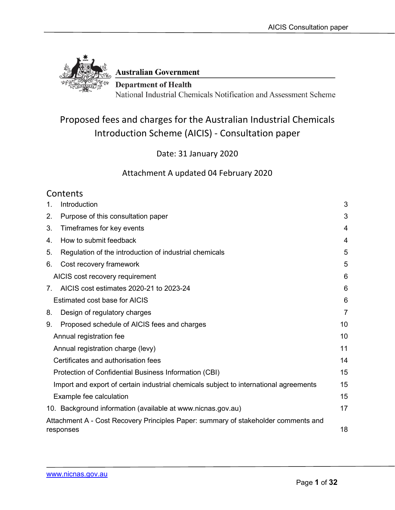

**Australian Government** 

**Department of Health** National Industrial Chemicals Notification and Assessment Scheme

## Proposed fees and charges for the Australian Industrial Chemicals Introduction Scheme (AICIS) - Consultation paper

Date: 31 January 2020

Attachment A updated 04 February 2020

## **Contents**

| 1.          | Introduction                                                                                    | 3  |
|-------------|-------------------------------------------------------------------------------------------------|----|
| 2.          | Purpose of this consultation paper                                                              | 3  |
| 3.          | Timeframes for key events                                                                       | 4  |
| 4.          | How to submit feedback                                                                          | 4  |
| 5.          | Regulation of the introduction of industrial chemicals                                          | 5  |
| 6.          | Cost recovery framework                                                                         | 5  |
|             | AICIS cost recovery requirement                                                                 | 6  |
| $7_{\odot}$ | AICIS cost estimates 2020-21 to 2023-24                                                         | 6  |
|             | Estimated cost base for AICIS                                                                   | 6  |
| 8.          | Design of regulatory charges                                                                    | 7  |
| 9.          | Proposed schedule of AICIS fees and charges                                                     | 10 |
|             | Annual registration fee                                                                         | 10 |
|             | Annual registration charge (levy)                                                               | 11 |
|             | Certificates and authorisation fees                                                             | 14 |
|             | Protection of Confidential Business Information (CBI)                                           | 15 |
|             | Import and export of certain industrial chemicals subject to international agreements           | 15 |
|             | Example fee calculation                                                                         | 15 |
|             | 10. Background information (available at www.nicnas.gov.au)                                     | 17 |
|             | Attachment A - Cost Recovery Principles Paper: summary of stakeholder comments and<br>responses | 18 |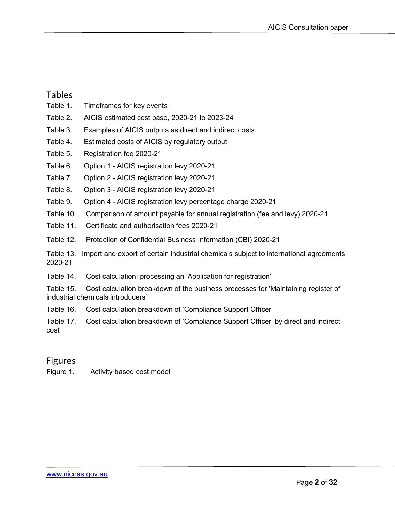#### Tables

- Table 1. Timeframes for key events
- Table 2. AICIS estimated cost base, 2020-21 to 2023-24
- Table 3. Examples of AICIS outputs as direct and indirect costs
- Table 4. Estimated costs of AICIS by regulatory output
- Table 5. Registration fee 2020-21
- Table 6. Option 1 AICIS registration levy 2020-21
- Table 7. Option 2 AICIS registration levy 2020-21
- Table 8. Option 3 AICIS registration levy 2020-21
- Table 9. Option 4 AICIS registration levy percentage charge 2020-21
- Table 10. Comparison of amount payable for annual registration (fee and levy) 2020-21
- Table 11. Certificate and authorisation fees 2020-21
- Table 12. Protection of Confidential Business Information (CBI) 2020-21
- Table 13. Import and export of certain industrial chemicals subject to international agreements 2020-21
- Table 14. Cost calculation: processing an 'Application for registration'
- Table 15. Cost calculation breakdown of the business processes for 'Maintaining register of industrial chemicals introducers'
- Table 16. Cost calculation breakdown of 'Compliance Support Officer'
- Table 17. Cost calculation breakdown of 'Compliance Support Officer' by direct and indirect cost

### Figures

Figure 1. Activity based cost model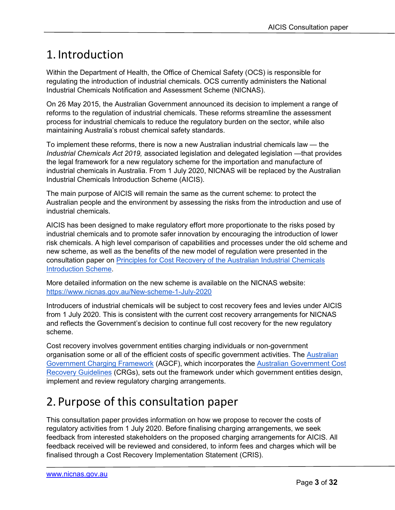## <span id="page-2-0"></span>1. Introduction

Within the Department of Health, the Office of Chemical Safety (OCS) is responsible for regulating the introduction of industrial chemicals. OCS currently administers the National Industrial Chemicals Notification and Assessment Scheme (NICNAS).

On 26 May 2015, the Australian Government announced its decision to implement a range of reforms to the regulation of industrial chemicals. These reforms streamline the assessment process for industrial chemicals to reduce the regulatory burden on the sector, while also maintaining Australia's robust chemical safety standards.

To implement these reforms, there is now a new Australian industrial chemicals law — the *Industrial Chemicals Act 2019,* associated legislation and delegated legislation —that provides the legal framework for a new regulatory scheme for the importation and manufacture of industrial chemicals in Australia. From 1 July 2020, NICNAS will be replaced by the Australian Industrial Chemicals Introduction Scheme (AICIS).

The main purpose of AICIS will remain the same as the current scheme: to protect the Australian people and the environment by assessing the risks from the introduction and use of industrial chemicals.

AICIS has been designed to make regulatory effort more proportionate to the risks posed by industrial chemicals and to promote safer innovation by encouraging the introduction of lower risk chemicals. A high level comparison of capabilities and processes under the old scheme and new scheme, as well as the benefits of the new model of regulation were presented in the consultation paper on Principles for Cost Recovery of [the Australian Industrial Chemicals](https://www.nicnas.gov.au/__data/assets/pdf_file/0011/89624/AICIS-cost-recovery-principles-paper-Final-16-Sep-2019.pdf)  [Introduction Scheme.](https://www.nicnas.gov.au/__data/assets/pdf_file/0011/89624/AICIS-cost-recovery-principles-paper-Final-16-Sep-2019.pdf)

More detailed information on the new scheme is available on the NICNAS website: <https://www.nicnas.gov.au/New-scheme-1-July-2020>

Introducers of industrial chemicals will be subject to cost recovery fees and levies under AICIS from 1 July 2020. This is consistent with the current cost recovery arrangements for NICNAS and reflects the Government's decision to continue full cost recovery for the new regulatory scheme.

Cost recovery involves government entities charging individuals or non-government organisation some or all of the efficient costs of specific government activities. The [Australian](https://www.finance.gov.au/government/managing-commonwealth-resources/australian-government-charging-framework/charging-regulatory-activities-cost-recovery)  [Government Charging Framework](https://www.finance.gov.au/government/managing-commonwealth-resources/australian-government-charging-framework/charging-regulatory-activities-cost-recovery) (AGCF), which incorporates the [Australian Government Cost](https://www.finance.gov.au/publications/resource-management-guides/australian-government-cost-recovery-guidelines-rmg-304)  [Recovery Guidelines](https://www.finance.gov.au/publications/resource-management-guides/australian-government-cost-recovery-guidelines-rmg-304) (CRGs), sets out the framework under which government entities design, implement and review regulatory charging arrangements.

# <span id="page-2-1"></span>2. Purpose of this consultation paper

This consultation paper provides information on how we propose to recover the costs of regulatory activities from 1 July 2020. Before finalising charging arrangements, we seek feedback from interested stakeholders on the proposed charging arrangements for AICIS. All feedback received will be reviewed and considered, to inform fees and charges which will be finalised through a Cost Recovery Implementation Statement (CRIS).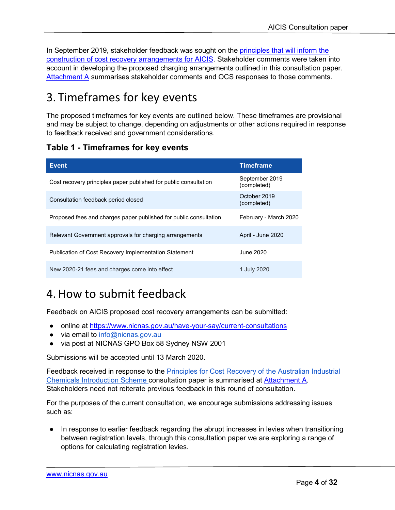In September 2019, stakeholder feedback was sought on the [principles that will inform the](https://www.nicnas.gov.au/__data/assets/pdf_file/0011/89624/AICIS-cost-recovery-principles-paper-Final-16-Sep-2019.pdf)  construction [of cost recovery arrangements for AICIS.](https://www.nicnas.gov.au/__data/assets/pdf_file/0011/89624/AICIS-cost-recovery-principles-paper-Final-16-Sep-2019.pdf) Stakeholder comments were taken into account in developing the proposed charging arrangements outlined in this consultation paper. [Attachment A](#page-17-0) summarises stakeholder comments and OCS responses to those comments.

# <span id="page-3-0"></span>3. Timeframes for key events

The proposed timeframes for key events are outlined below. These timeframes are provisional and may be subject to change, depending on adjustments or other actions required in response to feedback received and government considerations.

### **Table 1 - Timeframes for key events**

| <b>Event</b>                                                      | Timeframe                     |
|-------------------------------------------------------------------|-------------------------------|
| Cost recovery principles paper published for public consultation  | September 2019<br>(completed) |
| Consultation feedback period closed                               | October 2019<br>(completed)   |
| Proposed fees and charges paper published for public consultation | February - March 2020         |
| Relevant Government approvals for charging arrangements           | April - June 2020             |
| <b>Publication of Cost Recovery Implementation Statement</b>      | June 2020.                    |
| New 2020-21 fees and charges come into effect                     | 1 July 2020                   |

## <span id="page-3-1"></span>4.How to submit feedback

Feedback on AICIS proposed cost recovery arrangements can be submitted:

- online at<https://www.nicnas.gov.au/have-your-say/current-consultations>
- via email to [info@nicnas.gov.au](mailto:info@nicnas.gov.au)
- via post at NICNAS GPO Box 58 Sydney NSW 2001

Submissions will be accepted until 13 March 2020.

Feedback received in response to the **Principles for Cost Recovery of the Australian Industrial** [Chemicals Introduction Scheme](https://www.nicnas.gov.au/__data/assets/pdf_file/0011/89624/AICIS-cost-recovery-principles-paper-Final-16-Sep-2019.pdf) consultation paper is summarised at [Attachment A.](#page-17-0) Stakeholders need not reiterate previous feedback in this round of consultation.

For the purposes of the current consultation, we encourage submissions addressing issues such as:

● In response to earlier feedback regarding the abrupt increases in levies when transitioning between registration levels, through this consultation paper we are exploring a range of options for calculating registration levies.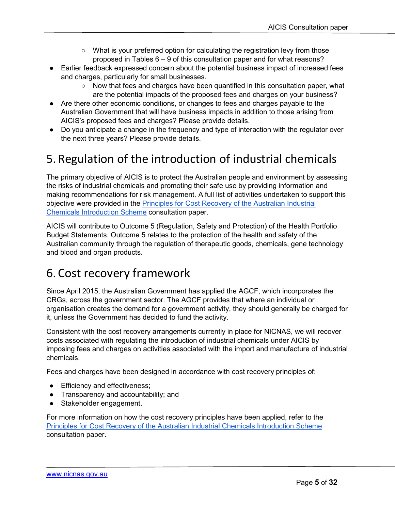- What is your preferred option for calculating the registration levy from those proposed in Tables 6 – 9 of this consultation paper and for what reasons?
- Earlier feedback expressed concern about the potential business impact of increased fees and charges, particularly for small businesses.
	- Now that fees and charges have been quantified in this consultation paper, what are the potential impacts of the proposed fees and charges on your business?
- Are there other economic conditions, or changes to fees and charges payable to the Australian Government that will have business impacts in addition to those arising from AICIS's proposed fees and charges? Please provide details.
- Do you anticipate a change in the frequency and type of interaction with the regulator over the next three years? Please provide details.

# <span id="page-4-0"></span>5. Regulation of the introduction of industrial chemicals

The primary objective of AICIS is to protect the Australian people and environment by assessing the risks of industrial chemicals and promoting their safe use by providing information and making recommendations for risk management. A full list of activities undertaken to support this objective were provided in the [Principles for Cost Recovery of the Australian Industrial](https://www.nicnas.gov.au/__data/assets/pdf_file/0011/89624/AICIS-cost-recovery-principles-paper-Final-16-Sep-2019.pdf)  [Chemicals Introduction Scheme](https://www.nicnas.gov.au/__data/assets/pdf_file/0011/89624/AICIS-cost-recovery-principles-paper-Final-16-Sep-2019.pdf) consultation paper.

AICIS will contribute to Outcome 5 (Regulation, Safety and Protection) of the Health Portfolio Budget Statements. Outcome 5 relates to the protection of the health and safety of the Australian community through the regulation of therapeutic goods, chemicals, gene technology and blood and organ products.

# <span id="page-4-1"></span>6. Cost recovery framework

Since April 2015, the Australian Government has applied the AGCF, which incorporates the CRGs, across the government sector. The AGCF provides that where an individual or organisation creates the demand for a government activity, they should generally be charged for it, unless the Government has decided to fund the activity.

Consistent with the cost recovery arrangements currently in place for NICNAS, we will recover costs associated with regulating the introduction of industrial chemicals under AICIS by imposing fees and charges on activities associated with the import and manufacture of industrial chemicals.

Fees and charges have been designed in accordance with cost recovery principles of:

- Efficiency and effectiveness;
- Transparency and accountability; and
- Stakeholder engagement.

For more information on how the cost recovery principles have been applied, refer to the [Principles for Cost Recovery of the Australian Industrial Chemicals Introduction Scheme](https://www.nicnas.gov.au/__data/assets/pdf_file/0011/89624/AICIS-cost-recovery-principles-paper-Final-16-Sep-2019.pdf) consultation paper.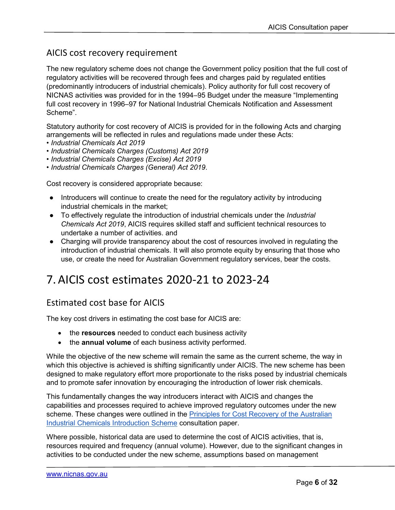## <span id="page-5-0"></span>AICIS cost recovery requirement

The new regulatory scheme does not change the Government policy position that the full cost of regulatory activities will be recovered through fees and charges paid by regulated entities (predominantly introducers of industrial chemicals). Policy authority for full cost recovery of NICNAS activities was provided for in the 1994–95 Budget under the measure "Implementing full cost recovery in 1996–97 for National Industrial Chemicals Notification and Assessment Scheme".

Statutory authority for cost recovery of AICIS is provided for in the following Acts and charging arrangements will be reflected in rules and regulations made under these Acts:

- *Industrial Chemicals Act 2019*
- *Industrial Chemicals Charges (Customs) Act 2019*
- *Industrial Chemicals Charges (Excise) Act 2019*
- *Industrial Chemicals Charges (General) Act 2019*.

Cost recovery is considered appropriate because:

- Introducers will continue to create the need for the regulatory activity by introducing industrial chemicals in the market;
- To effectively regulate the introduction of industrial chemicals under the *Industrial Chemicals Act 2019*, AICIS requires skilled staff and sufficient technical resources to undertake a number of activities. and
- Charging will provide transparency about the cost of resources involved in regulating the introduction of industrial chemicals. It will also promote equity by ensuring that those who use, or create the need for Australian Government regulatory services, bear the costs.

## <span id="page-5-1"></span>7.AICIS cost estimates 2020-21 to 2023-24

## <span id="page-5-2"></span>Estimated cost base for AICIS

The key cost drivers in estimating the cost base for AICIS are:

- the **resources** needed to conduct each business activity
- the **annual volume** of each business activity performed.

While the objective of the new scheme will remain the same as the current scheme, the way in which this objective is achieved is shifting significantly under AICIS. The new scheme has been designed to make regulatory effort more proportionate to the risks posed by industrial chemicals and to promote safer innovation by encouraging the introduction of lower risk chemicals.

This fundamentally changes the way introducers interact with AICIS and changes the capabilities and processes required to achieve improved regulatory outcomes under the new scheme. These changes were outlined in the **Principles for Cost Recovery of the Australian** [Industrial Chemicals Introduction Scheme](https://www.nicnas.gov.au/__data/assets/pdf_file/0011/89624/AICIS-cost-recovery-principles-paper-Final-16-Sep-2019.pdf) consultation paper.

Where possible, historical data are used to determine the cost of AICIS activities, that is, resources required and frequency (annual volume). However, due to the significant changes in activities to be conducted under the new scheme, assumptions based on management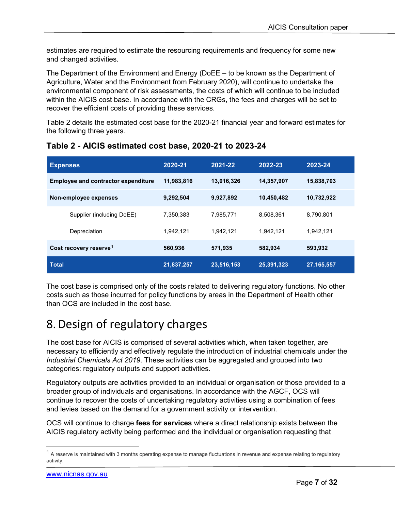estimates are required to estimate the resourcing requirements and frequency for some new and changed activities.

The Department of the Environment and Energy (DoEE – to be known as the Department of Agriculture, Water and the Environment from February 2020), will continue to undertake the environmental component of risk assessments, the costs of which will continue to be included within the AICIS cost base. In accordance with the CRGs, the fees and charges will be set to recover the efficient costs of providing these services.

Table 2 details the estimated cost base for the 2020-21 financial year and forward estimates for the following three years.

| <b>Expenses</b>                            | 2020-21    | 2021-22    | 2022-23    | 2023-24      |
|--------------------------------------------|------------|------------|------------|--------------|
| <b>Employee and contractor expenditure</b> | 11,983,816 | 13,016,326 | 14,357,907 | 15,838,703   |
| Non-employee expenses                      | 9,292,504  | 9,927,892  | 10,450,482 | 10,732,922   |
| Supplier (including DoEE)                  | 7,350,383  | 7,985,771  | 8,508,361  | 8,790,801    |
| Depreciation                               | 1,942,121  | 1,942,121  | 1,942,121  | 1,942,121    |
| Cost recovery reserve <sup>1</sup>         | 560,936    | 571,935    | 582,934    | 593,932      |
| <b>Total</b>                               | 21,837,257 | 23,516,153 | 25,391,323 | 27, 165, 557 |

#### **Table 2 - AICIS estimated cost base, 2020-21 to 2023-24**

The cost base is comprised only of the costs related to delivering regulatory functions. No other costs such as those incurred for policy functions by areas in the Department of Health other than OCS are included in the cost base.

# <span id="page-6-0"></span>8.Design of regulatory charges

The cost base for AICIS is comprised of several activities which, when taken together, are necessary to efficiently and effectively regulate the introduction of industrial chemicals under the *Industrial Chemicals Act 2019*. These activities can be aggregated and grouped into two categories: regulatory outputs and support activities.

Regulatory outputs are activities provided to an individual or organisation or those provided to a broader group of individuals and organisations. In accordance with the AGCF, OCS will continue to recover the costs of undertaking regulatory activities using a combination of fees and levies based on the demand for a government activity or intervention.

OCS will continue to charge **fees for services** where a direct relationship exists between the AICIS regulatory activity being performed and the individual or organisation requesting that

<span id="page-6-1"></span> $1$  A reserve is maintained with 3 months operating expense to manage fluctuations in revenue and expense relating to regulatory activity.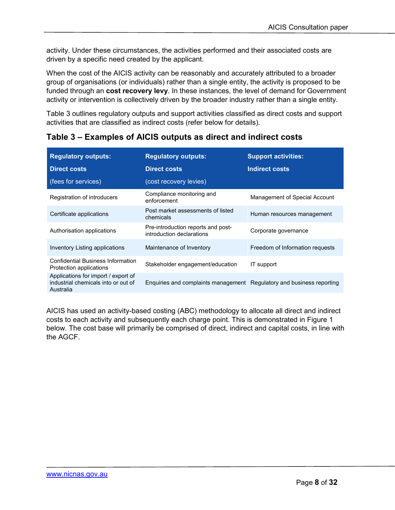activity. Under these circumstances, the activities performed and their associated costs are driven by a specific need created by the applicant.

When the cost of the AICIS activity can be reasonably and accurately attributed to a broader group of organisations (or individuals) rather than a single entity, the activity is proposed to be funded through an **cost recovery levy**. In these instances, the level of demand for Government activity or intervention is collectively driven by the broader industry rather than a single entity.

Table 3 outlines regulatory outputs and support activities classified as direct costs and support activities that are classified as indirect costs (refer below for details).

| <b>Regulatory outputs:</b><br><b>Direct costs</b>                                       | <b>Regulatory outputs:</b><br><b>Direct costs</b>                     | <b>Support activities:</b><br>Indirect costs |
|-----------------------------------------------------------------------------------------|-----------------------------------------------------------------------|----------------------------------------------|
| (fees for services)                                                                     | (cost recovery levies)                                                |                                              |
| Registration of introducers                                                             | Compliance monitoring and<br>enforcement                              | Management of Special Account                |
| Certificate applications                                                                | Post market assessments of listed<br>chemicals                        | Human resources management                   |
| Authorisation applications                                                              | Pre-introduction reports and post-<br>introduction declarations       | Corporate governance                         |
| Inventory Listing applications                                                          | Maintenance of Inventory                                              | Freedom of Information requests              |
| Confidential Business Information<br>Protection applications                            | Stakeholder engagement/education                                      | IT support                                   |
| Applications for import / export of<br>industrial chemicals into or out of<br>Australia | Enquiries and complaints management Regulatory and business reporting |                                              |

**Table 3 – Examples of AICIS outputs as direct and indirect costs**

AICIS has used an activity-based costing (ABC) methodology to allocate all direct and indirect costs to each activity and subsequently each charge point. This is demonstrated in Figure 1 below. The cost base will primarily be comprised of direct, indirect and capital costs, in line with the AGCF.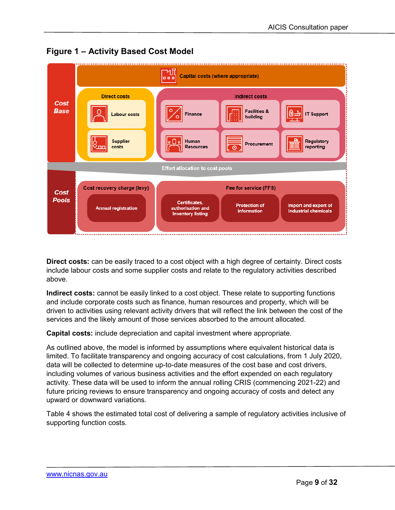

**Figure 1 – Activity Based Cost Model**

**Direct costs:** can be easily traced to a cost object with a high degree of certainty. Direct costs include labour costs and some supplier costs and relate to the regulatory activities described above.

**Indirect costs:** cannot be easily linked to a cost object. These relate to supporting functions and include corporate costs such as finance, human resources and property, which will be driven to activities using relevant activity drivers that will reflect the link between the cost of the services and the likely amount of those services absorbed to the amount allocated.

**Capital costs:** include depreciation and capital investment where appropriate.

As outlined above, the model is informed by assumptions where equivalent historical data is limited. To facilitate transparency and ongoing accuracy of cost calculations, from 1 July 2020, data will be collected to determine up-to-date measures of the cost base and cost drivers, including volumes of various business activities and the effort expended on each regulatory activity. These data will be used to inform the annual rolling CRIS (commencing 2021-22) and future pricing reviews to ensure transparency and ongoing accuracy of costs and detect any upward or downward variations.

Table 4 shows the estimated total cost of delivering a sample of regulatory activities inclusive of supporting function costs.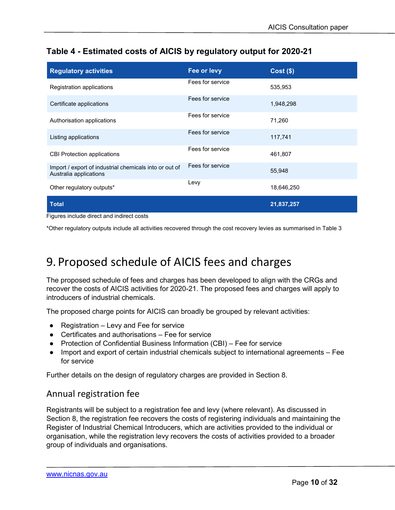### **Table 4 - Estimated costs of AICIS by regulatory output for 2020-21**

| <b>Regulatory activities</b>                                                     | Fee or levy      | $Cost($ \$) |
|----------------------------------------------------------------------------------|------------------|-------------|
| Registration applications                                                        | Fees for service | 535,953     |
| Certificate applications                                                         | Fees for service | 1,948,298   |
| Authorisation applications                                                       | Fees for service | 71,260      |
| Listing applications                                                             | Fees for service | 117,741     |
| <b>CBI Protection applications</b>                                               | Fees for service | 461,807     |
| Import / export of industrial chemicals into or out of<br>Australia applications | Fees for service | 55,948      |
| Other regulatory outputs*                                                        | Levy             | 18,646,250  |
| <b>Total</b>                                                                     |                  | 21,837,257  |

Figures include direct and indirect costs

\*Other regulatory outputs include all activities recovered through the cost recovery levies as summarised in Table 3

## <span id="page-9-0"></span>9. Proposed schedule of AICIS fees and charges

The proposed schedule of fees and charges has been developed to align with the CRGs and recover the costs of AICIS activities for 2020-21. The proposed fees and charges will apply to introducers of industrial chemicals.

The proposed charge points for AICIS can broadly be grouped by relevant activities:

- $\bullet$  Registration Levy and Fee for service
- Certificates and authorisations Fee for service
- Protection of Confidential Business Information (CBI) Fee for service
- Import and export of certain industrial chemicals subject to international agreements Fee for service

Further details on the design of regulatory charges are provided in Section 8.

### <span id="page-9-1"></span>Annual registration fee

Registrants will be subject to a registration fee and levy (where relevant). As discussed in Section 8, the registration fee recovers the costs of registering individuals and maintaining the Register of Industrial Chemical Introducers, which are activities provided to the individual or organisation, while the registration levy recovers the costs of activities provided to a broader group of individuals and organisations.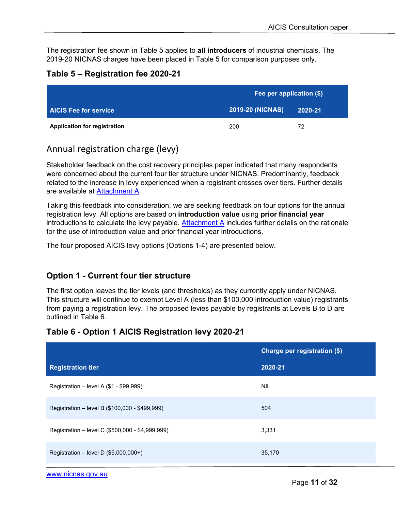The registration fee shown in Table 5 applies to **all introducers** of industrial chemicals. The 2019-20 NICNAS charges have been placed in Table 5 for comparison purposes only.

#### **Table 5 – Registration fee 2020-21**

|                                     | Fee per application (\$) |         |  |
|-------------------------------------|--------------------------|---------|--|
| <b>AICIS Fee for service</b>        | <b>2019-20 (NICNAS)</b>  | 2020-21 |  |
| <b>Application for registration</b> | 200                      | 72      |  |

## <span id="page-10-0"></span>Annual registration charge (levy)

Stakeholder feedback on the cost recovery principles paper indicated that many respondents were concerned about the current four tier structure under NICNAS. Predominantly, feedback related to the increase in levy experienced when a registrant crosses over tiers. Further details are available at [Attachment A](#page-17-0).

Taking this feedback into consideration, we are seeking feedback on four options for the annual registration levy. All options are based on **introduction value** using **prior financial year** introductions to calculate the levy payable. Attachment  $A$  includes further details on the rationale for the use of introduction value and prior financial year introductions.

The four proposed AICIS levy options (Options 1-4) are presented below.

### **Option 1 - Current four tier structure**

The first option leaves the tier levels (and thresholds) as they currently apply under NICNAS. This structure will continue to exempt Level A (less than \$100,000 introduction value) registrants from paying a registration levy. The proposed levies payable by registrants at Levels B to D are outlined in Table 6.

#### **Table 6 - Option 1 AICIS Registration levy 2020-21**

|                                                  | Charge per registration (\$) |
|--------------------------------------------------|------------------------------|
| <b>Registration tier</b>                         | 2020-21                      |
| Registration – level A $(\$1 - \$99,999)$        | <b>NIL</b>                   |
| Registration – level B (\$100,000 - \$499,999)   | 504                          |
| Registration - level C (\$500,000 - \$4,999,999) | 3,331                        |
| Registration - level D (\$5,000,000+)            | 35,170                       |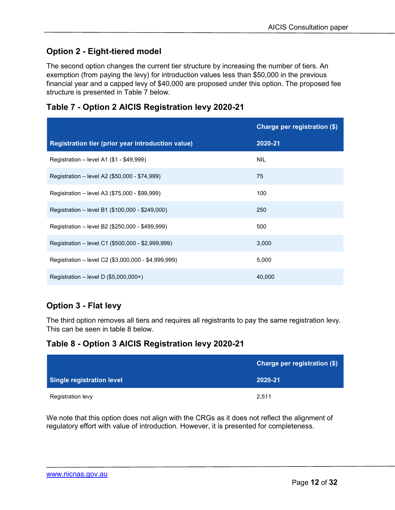## **Option 2 - Eight-tiered model**

The second option changes the current tier structure by increasing the number of tiers. An exemption (from paying the levy) for introduction values less than \$50,000 in the previous financial year and a capped levy of \$40,000 are proposed under this option. The proposed fee structure is presented in Table 7 below.

|                                                     | Charge per registration (\$) |
|-----------------------------------------------------|------------------------------|
| Registration tier (prior year introduction value)   | 2020-21                      |
| Registration - level A1 (\$1 - \$49,999)            | NIL                          |
| Registration - level A2 (\$50,000 - \$74,999)       | 75                           |
| Registration – level A3 (\$75,000 - \$99,999)       | 100                          |
| Registration - level B1 (\$100,000 - \$249,000)     | 250                          |
| Registration - level B2 (\$250,000 - \$499,999)     | 500                          |
| Registration - level C1 (\$500,000 - \$2,999,999)   | 3,000                        |
| Registration - level C2 (\$3,000,000 - \$4,999,999) | 5,000                        |
| Registration – level D $(\$5,000,000+)$             | 40,000                       |

### **Table 7 - Option 2 AICIS Registration levy 2020-21**

## **Option 3 - Flat levy**

The third option removes all tiers and requires all registrants to pay the same registration levy. This can be seen in table 8 below.

### **Table 8 - Option 3 AICIS Registration levy 2020-21**

|                           | Charge per registration (\$) |
|---------------------------|------------------------------|
| Single registration level | 2020-21                      |
| Registration levy         | 2.511                        |

We note that this option does not align with the CRGs as it does not reflect the alignment of regulatory effort with value of introduction. However, it is presented for completeness.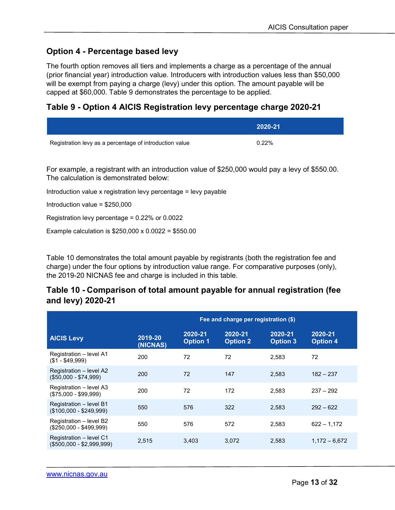### **Option 4 - Percentage based levy**

The fourth option removes all tiers and implements a charge as a percentage of the annual (prior financial year) introduction value. Introducers with introduction values less than \$50,000 will be exempt from paying a charge (levy) under this option. The amount payable will be capped at \$60,000. Table 9 demonstrates the percentage to be applied.

### **Table 9 - Option 4 AICIS Registration levy percentage charge 2020-21**

|                                                         | 2020-21 |
|---------------------------------------------------------|---------|
| Registration levy as a percentage of introduction value | 0.22%   |
|                                                         |         |

For example, a registrant with an introduction value of \$250,000 would pay a levy of \$550.00. The calculation is demonstrated below:

Introduction value x registration levy percentage = levy payable

Introduction value = \$250,000

Registration levy percentage = 0.22% or 0.0022

Example calculation is \$250,000 x 0.0022 = \$550.00

Table 10 demonstrates the total amount payable by registrants (both the registration fee and charge) under the four options by introduction value range. For comparative purposes (only), the 2019-20 NICNAS fee and charge is included in this table.

#### **Table 10 - Comparison of total amount payable for annual registration (fee and levy) 2020-21**

|                                                      | Fee and charge per registration (\$) |                            |                            |                            |                            |
|------------------------------------------------------|--------------------------------------|----------------------------|----------------------------|----------------------------|----------------------------|
| <b>AICIS Levy</b>                                    | 2019-20<br>(NICNAS)                  | 2020-21<br><b>Option 1</b> | 2020-21<br><b>Option 2</b> | 2020-21<br><b>Option 3</b> | 2020-21<br><b>Option 4</b> |
| Registration - level A1<br>$($1 - $49,999)$          | 200                                  | 72                         | 72                         | 2.583                      | 72                         |
| Registration – level A2<br>$($50,000 - $74,999)$     | 200                                  | 72                         | 147                        | 2,583                      | $182 - 237$                |
| Registration - level A3<br>$($75,000 - $99,999)$     | 200                                  | 72                         | 172                        | 2.583                      | $237 - 292$                |
| Registration - level B1<br>$($100,000 - $249,999)$   | 550                                  | 576                        | 322                        | 2,583                      | $292 - 622$                |
| Registration - level B2<br>$($250,000 - $499,999)$   | 550                                  | 576                        | 572                        | 2,583                      | $622 - 1.172$              |
| Registration – level C1<br>$($500,000 - $2,999,999)$ | 2,515                                | 3,403                      | 3,072                      | 2,583                      | $1.172 - 6.672$            |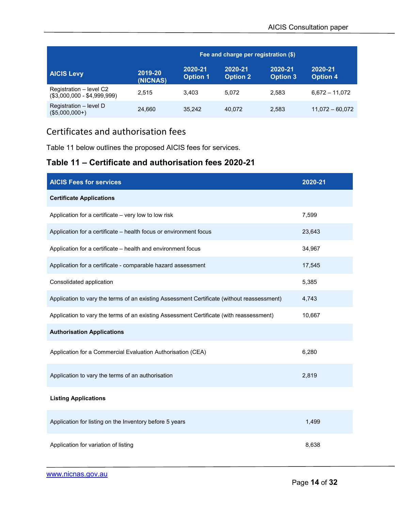|                                                        | Fee and charge per registration (\$) |                            |                            |                            |                            |
|--------------------------------------------------------|--------------------------------------|----------------------------|----------------------------|----------------------------|----------------------------|
| <b>AICIS Levy</b>                                      | 2019-20<br>(NICNAS)                  | 2020-21<br><b>Option 1</b> | 2020-21<br><b>Option 2</b> | 2020-21<br><b>Option 3</b> | 2020-21<br><b>Option 4</b> |
| Registration - level C2<br>$($3,000,000 - $4,999,999)$ | 2.515                                | 3.403                      | 5.072                      | 2.583                      | $6.672 - 11.072$           |
| Registration - level D<br>$($5,000,000+)$              | 24.660                               | 35.242                     | 40.072                     | 2,583                      | $11,072 - 60,072$          |

## <span id="page-13-0"></span>Certificates and authorisation fees

Table 11 below outlines the proposed AICIS fees for services.

### **Table 11 – Certificate and authorisation fees 2020-21**

| <b>AICIS Fees for services</b>                                                             | 2020-21 |
|--------------------------------------------------------------------------------------------|---------|
| <b>Certificate Applications</b>                                                            |         |
| Application for a certificate - very low to low risk                                       | 7,599   |
| Application for a certificate - health focus or environment focus                          | 23,643  |
| Application for a certificate - health and environment focus                               | 34,967  |
| Application for a certificate - comparable hazard assessment                               | 17,545  |
| Consolidated application                                                                   | 5,385   |
| Application to vary the terms of an existing Assessment Certificate (without reassessment) | 4,743   |
| Application to vary the terms of an existing Assessment Certificate (with reassessment)    | 10,667  |
| <b>Authorisation Applications</b>                                                          |         |
| Application for a Commercial Evaluation Authorisation (CEA)                                | 6,280   |
| Application to vary the terms of an authorisation                                          | 2,819   |
| <b>Listing Applications</b>                                                                |         |
| Application for listing on the Inventory before 5 years                                    | 1,499   |
| Application for variation of listing                                                       | 8,638   |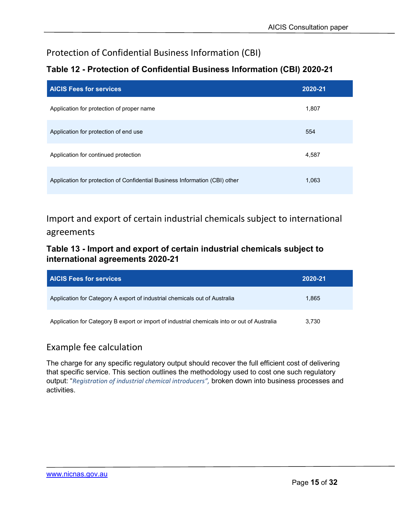## <span id="page-14-0"></span>Protection of Confidential Business Information (CBI)

## **Table 12 - Protection of Confidential Business Information (CBI) 2020-21**

| <b>AICIS Fees for services</b>                                              | 2020-21 |
|-----------------------------------------------------------------------------|---------|
| Application for protection of proper name                                   | 1,807   |
| Application for protection of end use                                       | 554     |
| Application for continued protection                                        | 4,587   |
| Application for protection of Confidential Business Information (CBI) other | 1,063   |

<span id="page-14-1"></span>Import and export of certain industrial chemicals subject to international agreements

### **Table 13 - Import and export of certain industrial chemicals subject to international agreements 2020-21**

| <b>AICIS Fees for services</b>                                                               | 2020-21 |
|----------------------------------------------------------------------------------------------|---------|
| Application for Category A export of industrial chemicals out of Australia                   | 1.865   |
| Application for Category B export or import of industrial chemicals into or out of Australia | 3.730   |

## <span id="page-14-2"></span>Example fee calculation

The charge for any specific regulatory output should recover the full efficient cost of delivering that specific service. This section outlines the methodology used to cost one such regulatory output: "*Registration of industrial chemical introducers",* broken down into business processes and activities.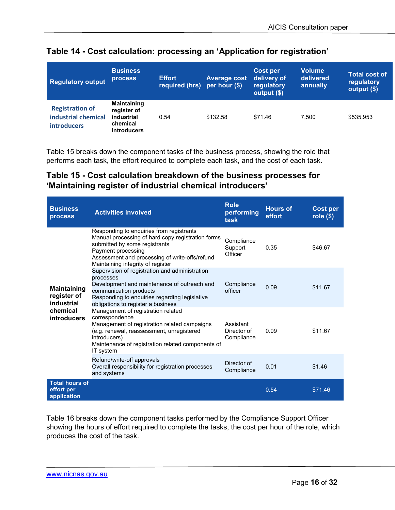| <b>Regulatory output</b>                                            | <b>Business</b><br>process <sup>1</sup>                                           | <b>Effort</b><br>required (hrs) | <b>Average cost</b><br>per hour (\$) | Cost per<br>delivery of<br>regulatory<br>output (\$) | <b>Volume</b><br>delivered<br>annually | <b>Total cost of</b><br>regulatory<br>output (\$) |
|---------------------------------------------------------------------|-----------------------------------------------------------------------------------|---------------------------------|--------------------------------------|------------------------------------------------------|----------------------------------------|---------------------------------------------------|
| <b>Registration of</b><br>industrial chemical<br><b>introducers</b> | <b>Maintaining</b><br>register of<br>industrial<br>chemical<br><b>introducers</b> | 0.54                            | \$132.58                             | \$71.46                                              | 7.500                                  | \$535,953                                         |

#### **Table 14 - Cost calculation: processing an 'Application for registration'**

Table 15 breaks down the component tasks of the business process, showing the role that performs each task, the effort required to complete each task, and the cost of each task.

### **Table 15 - Cost calculation breakdown of the business processes for 'Maintaining register of industrial chemical introducers'**

| <b>Business</b><br>process                         | <b>Activities involved</b>                                                                                                                                                                                                                  | <b>Role</b><br>performing<br>task      | <b>Hours of</b><br>effort | <b>Cost per</b><br>role $($)$ |
|----------------------------------------------------|---------------------------------------------------------------------------------------------------------------------------------------------------------------------------------------------------------------------------------------------|----------------------------------------|---------------------------|-------------------------------|
|                                                    | Responding to enquiries from registrants<br>Manual processing of hard copy registration forms<br>submitted by some registrants<br>Payment processing<br>Assessment and processing of write-offs/refund<br>Maintaining integrity of register | Compliance<br>Support<br>Officer       | 0.35                      | \$46.67                       |
| <b>Maintaining</b><br>register of<br>industrial    | Supervision of registration and administration<br>processes<br>Development and maintenance of outreach and<br>communication products<br>Responding to enquiries regarding legislative<br>obligations to register a business                 | Compliance<br>officer                  | 0.09                      | \$11.67                       |
| chemical<br><b>introducers</b>                     | Management of registration related<br>correspondence<br>Management of registration related campaigns<br>(e.g. renewal, reassessment, unregistered<br>introducers)<br>Maintenance of registration related components of<br>IT system         | Assistant<br>Director of<br>Compliance | 0.09                      | \$11.67                       |
|                                                    | Refund/write-off approvals<br>Overall responsibility for registration processes<br>and systems                                                                                                                                              | Director of<br>Compliance              | 0.01                      | \$1.46                        |
| <b>Total hours of</b><br>effort per<br>application |                                                                                                                                                                                                                                             |                                        | 0.54                      | \$71.46                       |

Table 16 breaks down the component tasks performed by the Compliance Support Officer showing the hours of effort required to complete the tasks, the cost per hour of the role, which produces the cost of the task.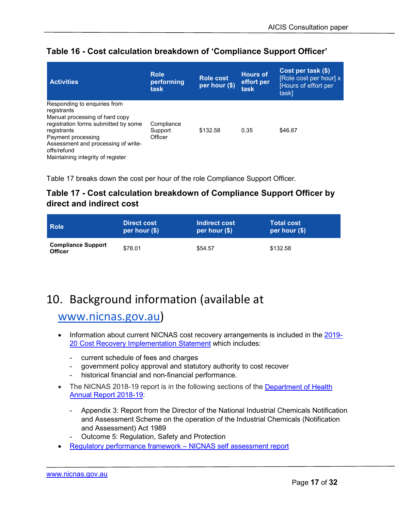| <b>Activities</b>                                                                                                                                                                                                                                     | <b>Role</b><br>performing<br>task | <b>Role cost</b><br>per hour (\$) | <b>Hours of</b><br>effort per<br>task | Cost per task (\$)<br>[Role cost per hour] x<br>[Hours of effort per<br>task] |
|-------------------------------------------------------------------------------------------------------------------------------------------------------------------------------------------------------------------------------------------------------|-----------------------------------|-----------------------------------|---------------------------------------|-------------------------------------------------------------------------------|
| Responding to enquiries from<br>registrants<br>Manual processing of hard copy<br>registration forms submitted by some<br>registrants<br>Payment processing<br>Assessment and processing of write-<br>offs/refund<br>Maintaining integrity of register | Compliance<br>Support<br>Officer  | \$132.58                          | 0.35                                  | \$46.67                                                                       |

### **Table 16 - Cost calculation breakdown of 'Compliance Support Officer'**

Table 17 breaks down the cost per hour of the role Compliance Support Officer.

### **Table 17 - Cost calculation breakdown of Compliance Support Officer by direct and indirect cost**

| <b>Role</b>                                 | <b>Direct cost</b> | Indirect cost   | <b>Total cost</b> |
|---------------------------------------------|--------------------|-----------------|-------------------|
|                                             | per hour $(\$)$    | per hour $(\$)$ | per hour $(\$)$   |
| <b>Compliance Support</b><br><b>Officer</b> | \$78.01            | \$54.57         | \$132.58          |

# <span id="page-16-0"></span>10. Background information (available at

## [www.nicnas.gov.au\)](http://www.nicnas.gov.au/)

- Information about current NICNAS cost recovery arrangements is included in the [2019-](https://www.nicnas.gov.au/__data/assets/pdf_file/0005/90248/2019-20-CRIS.pdf) [20 Cost Recovery Implementation Statement](https://www.nicnas.gov.au/__data/assets/pdf_file/0005/90248/2019-20-CRIS.pdf) which includes:
	- current schedule of fees and charges
	- government policy approval and statutory authority to cost recover
	- historical financial and non-financial performance.
- The NICNAS 2018-19 report is in the following sections of the Department of Health [Annual Report 2018-19:](https://www.health.gov.au/resources/publications/department-of-health-annual-report-2018-19)
	- Appendix 3: Report from the Director of the National Industrial Chemicals Notification and Assessment Scheme on the operation of the Industrial Chemicals (Notification and Assessment) Act 1989
	- Outcome 5: Regulation, Safety and Protection
- [Regulatory performance framework –](https://www1.health.gov.au/internet/main/publishing.nsf/Content/RPT-self-assessment) NICNAS self assessment report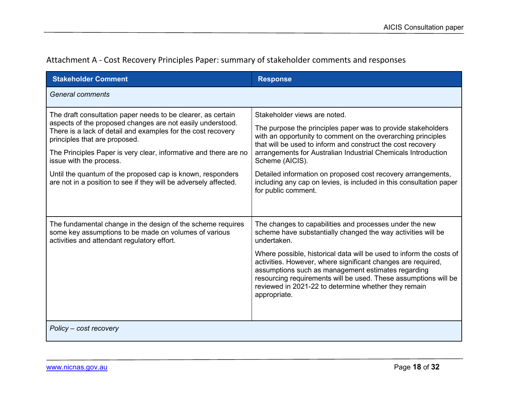| Attachment A - Cost Recovery Principles Paper: summary of stakeholder comments and responses |  |  |  |
|----------------------------------------------------------------------------------------------|--|--|--|
|----------------------------------------------------------------------------------------------|--|--|--|

<span id="page-17-0"></span>

| <b>Stakeholder Comment</b>                                                                                                                                                                                                                                                                                                                                                                                                                                   | <b>Response</b>                                                                                                                                                                                                                                                                                                                                                                                                                                                                |
|--------------------------------------------------------------------------------------------------------------------------------------------------------------------------------------------------------------------------------------------------------------------------------------------------------------------------------------------------------------------------------------------------------------------------------------------------------------|--------------------------------------------------------------------------------------------------------------------------------------------------------------------------------------------------------------------------------------------------------------------------------------------------------------------------------------------------------------------------------------------------------------------------------------------------------------------------------|
| <b>General comments</b>                                                                                                                                                                                                                                                                                                                                                                                                                                      |                                                                                                                                                                                                                                                                                                                                                                                                                                                                                |
| The draft consultation paper needs to be clearer, as certain<br>aspects of the proposed changes are not easily understood.<br>There is a lack of detail and examples for the cost recovery<br>principles that are proposed.<br>The Principles Paper is very clear, informative and there are no<br>issue with the process.<br>Until the quantum of the proposed cap is known, responders<br>are not in a position to see if they will be adversely affected. | Stakeholder views are noted.<br>The purpose the principles paper was to provide stakeholders<br>with an opportunity to comment on the overarching principles<br>that will be used to inform and construct the cost recovery<br>arrangements for Australian Industrial Chemicals Introduction<br>Scheme (AICIS).<br>Detailed information on proposed cost recovery arrangements,<br>including any cap on levies, is included in this consultation paper<br>for public comment.  |
| The fundamental change in the design of the scheme requires<br>some key assumptions to be made on volumes of various<br>activities and attendant regulatory effort.                                                                                                                                                                                                                                                                                          | The changes to capabilities and processes under the new<br>scheme have substantially changed the way activities will be<br>undertaken.<br>Where possible, historical data will be used to inform the costs of<br>activities. However, where significant changes are required,<br>assumptions such as management estimates regarding<br>resourcing requirements will be used. These assumptions will be<br>reviewed in 2021-22 to determine whether they remain<br>appropriate. |
| Policy – cost recovery                                                                                                                                                                                                                                                                                                                                                                                                                                       |                                                                                                                                                                                                                                                                                                                                                                                                                                                                                |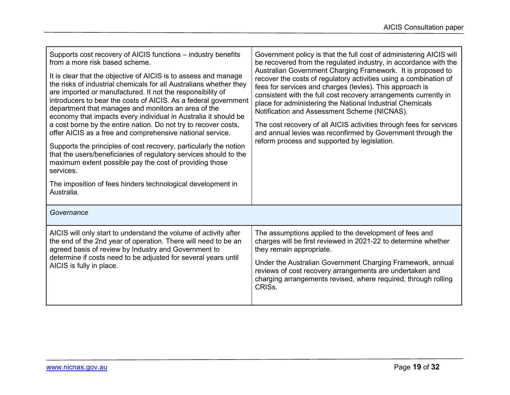| Supports cost recovery of AICIS functions - industry benefits<br>from a more risk based scheme.<br>It is clear that the objective of AICIS is to assess and manage<br>the risks of industrial chemicals for all Australians whether they<br>are imported or manufactured. It not the responsibility of<br>introducers to bear the costs of AICIS. As a federal government<br>department that manages and monitors an area of the<br>economy that impacts every individual in Australia it should be<br>a cost borne by the entire nation. Do not try to recover costs,<br>offer AICIS as a free and comprehensive national service.<br>Supports the principles of cost recovery, particularly the notion<br>that the users/beneficiaries of regulatory services should to the<br>maximum extent possible pay the cost of providing those<br>services.<br>The imposition of fees hinders technological development in<br>Australia. | Government policy is that the full cost of administering AICIS will<br>be recovered from the regulated industry, in accordance with the<br>Australian Government Charging Framework. It is proposed to<br>recover the costs of regulatory activities using a combination of<br>fees for services and charges (levies). This approach is<br>consistent with the full cost recovery arrangements currently in<br>place for administering the National Industrial Chemicals<br>Notification and Assessment Scheme (NICNAS).<br>The cost recovery of all AICIS activities through fees for services<br>and annual levies was reconfirmed by Government through the<br>reform process and supported by legislation. |
|------------------------------------------------------------------------------------------------------------------------------------------------------------------------------------------------------------------------------------------------------------------------------------------------------------------------------------------------------------------------------------------------------------------------------------------------------------------------------------------------------------------------------------------------------------------------------------------------------------------------------------------------------------------------------------------------------------------------------------------------------------------------------------------------------------------------------------------------------------------------------------------------------------------------------------|----------------------------------------------------------------------------------------------------------------------------------------------------------------------------------------------------------------------------------------------------------------------------------------------------------------------------------------------------------------------------------------------------------------------------------------------------------------------------------------------------------------------------------------------------------------------------------------------------------------------------------------------------------------------------------------------------------------|
| Governance                                                                                                                                                                                                                                                                                                                                                                                                                                                                                                                                                                                                                                                                                                                                                                                                                                                                                                                         |                                                                                                                                                                                                                                                                                                                                                                                                                                                                                                                                                                                                                                                                                                                |
| AICIS will only start to understand the volume of activity after<br>the end of the 2nd year of operation. There will need to be an<br>agreed basis of review by Industry and Government to                                                                                                                                                                                                                                                                                                                                                                                                                                                                                                                                                                                                                                                                                                                                         | The assumptions applied to the development of fees and<br>charges will be first reviewed in 2021-22 to determine whether<br>they remain appropriate.                                                                                                                                                                                                                                                                                                                                                                                                                                                                                                                                                           |
| determine if costs need to be adjusted for several years until<br>AICIS is fully in place.                                                                                                                                                                                                                                                                                                                                                                                                                                                                                                                                                                                                                                                                                                                                                                                                                                         | Under the Australian Government Charging Framework, annual<br>reviews of cost recovery arrangements are undertaken and<br>charging arrangements revised, where required, through rolling<br>CRIS <sub>s.</sub>                                                                                                                                                                                                                                                                                                                                                                                                                                                                                                 |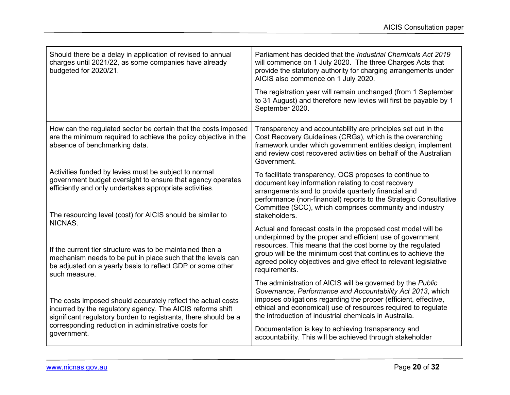| Should there be a delay in application of revised to annual<br>charges until 2021/22, as some companies have already<br>budgeted for 2020/21.                                                                                                | Parliament has decided that the <i>Industrial Chemicals Act 2019</i><br>will commence on 1 July 2020. The three Charges Acts that<br>provide the statutory authority for charging arrangements under<br>AICIS also commence on 1 July 2020.                                                                                                  |
|----------------------------------------------------------------------------------------------------------------------------------------------------------------------------------------------------------------------------------------------|----------------------------------------------------------------------------------------------------------------------------------------------------------------------------------------------------------------------------------------------------------------------------------------------------------------------------------------------|
|                                                                                                                                                                                                                                              | The registration year will remain unchanged (from 1 September<br>to 31 August) and therefore new levies will first be payable by 1<br>September 2020.                                                                                                                                                                                        |
| How can the regulated sector be certain that the costs imposed<br>are the minimum required to achieve the policy objective in the<br>absence of benchmarking data.                                                                           | Transparency and accountability are principles set out in the<br>Cost Recovery Guidelines (CRGs), which is the overarching<br>framework under which government entities design, implement<br>and review cost recovered activities on behalf of the Australian<br>Government.                                                                 |
| Activities funded by levies must be subject to normal<br>government budget oversight to ensure that agency operates<br>efficiently and only undertakes appropriate activities.<br>The resourcing level (cost) for AICIS should be similar to | To facilitate transparency, OCS proposes to continue to<br>document key information relating to cost recovery<br>arrangements and to provide quarterly financial and<br>performance (non-financial) reports to the Strategic Consultative<br>Committee (SCC), which comprises community and industry<br>stakeholders.                        |
| NICNAS.<br>If the current tier structure was to be maintained then a<br>mechanism needs to be put in place such that the levels can<br>be adjusted on a yearly basis to reflect GDP or some other<br>such measure.                           | Actual and forecast costs in the proposed cost model will be<br>underpinned by the proper and efficient use of government<br>resources. This means that the cost borne by the regulated<br>group will be the minimum cost that continues to achieve the<br>agreed policy objectives and give effect to relevant legislative<br>requirements. |
| The costs imposed should accurately reflect the actual costs<br>incurred by the regulatory agency. The AICIS reforms shift<br>significant regulatory burden to registrants, there should be a                                                | The administration of AICIS will be governed by the Public<br>Governance, Performance and Accountability Act 2013, which<br>imposes obligations regarding the proper (efficient, effective,<br>ethical and economical) use of resources required to regulate<br>the introduction of industrial chemicals in Australia.                       |
| corresponding reduction in administrative costs for<br>government.                                                                                                                                                                           | Documentation is key to achieving transparency and<br>accountability. This will be achieved through stakeholder                                                                                                                                                                                                                              |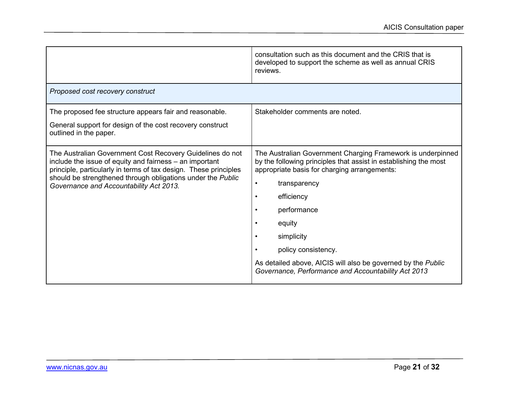|                                                                                                                                                                                                                                                                                                    | consultation such as this document and the CRIS that is<br>developed to support the scheme as well as annual CRIS<br>reviews.                                                                                                                                                                                                                                                                                   |
|----------------------------------------------------------------------------------------------------------------------------------------------------------------------------------------------------------------------------------------------------------------------------------------------------|-----------------------------------------------------------------------------------------------------------------------------------------------------------------------------------------------------------------------------------------------------------------------------------------------------------------------------------------------------------------------------------------------------------------|
| Proposed cost recovery construct                                                                                                                                                                                                                                                                   |                                                                                                                                                                                                                                                                                                                                                                                                                 |
| The proposed fee structure appears fair and reasonable.<br>General support for design of the cost recovery construct<br>outlined in the paper.                                                                                                                                                     | Stakeholder comments are noted.                                                                                                                                                                                                                                                                                                                                                                                 |
| The Australian Government Cost Recovery Guidelines do not<br>include the issue of equity and fairness – an important<br>principle, particularly in terms of tax design. These principles<br>should be strengthened through obligations under the Public<br>Governance and Accountability Act 2013. | The Australian Government Charging Framework is underpinned<br>by the following principles that assist in establishing the most<br>appropriate basis for charging arrangements:<br>transparency<br>$\bullet$<br>efficiency<br>performance<br>equity<br>simplicity<br>policy consistency.<br>As detailed above, AICIS will also be governed by the Public<br>Governance, Performance and Accountability Act 2013 |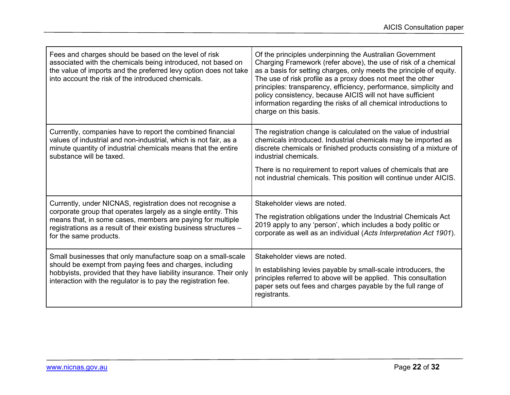| Fees and charges should be based on the level of risk<br>associated with the chemicals being introduced, not based on<br>the value of imports and the preferred levy option does not take<br>into account the risk of the introduced chemicals.                                           | Of the principles underpinning the Australian Government<br>Charging Framework (refer above), the use of risk of a chemical<br>as a basis for setting charges, only meets the principle of equity.<br>The use of risk profile as a proxy does not meet the other<br>principles: transparency, efficiency, performance, simplicity and<br>policy consistency, because AICIS will not have sufficient<br>information regarding the risks of all chemical introductions to<br>charge on this basis. |
|-------------------------------------------------------------------------------------------------------------------------------------------------------------------------------------------------------------------------------------------------------------------------------------------|--------------------------------------------------------------------------------------------------------------------------------------------------------------------------------------------------------------------------------------------------------------------------------------------------------------------------------------------------------------------------------------------------------------------------------------------------------------------------------------------------|
| Currently, companies have to report the combined financial<br>values of industrial and non-industrial, which is not fair, as a<br>minute quantity of industrial chemicals means that the entire<br>substance will be taxed.                                                               | The registration change is calculated on the value of industrial<br>chemicals introduced. Industrial chemicals may be imported as<br>discrete chemicals or finished products consisting of a mixture of<br>industrial chemicals.<br>There is no requirement to report values of chemicals that are<br>not industrial chemicals. This position will continue under AICIS.                                                                                                                         |
| Currently, under NICNAS, registration does not recognise a<br>corporate group that operates largely as a single entity. This<br>means that, in some cases, members are paying for multiple<br>registrations as a result of their existing business structures -<br>for the same products. | Stakeholder views are noted.<br>The registration obligations under the Industrial Chemicals Act<br>2019 apply to any 'person', which includes a body politic or<br>corporate as well as an individual (Acts Interpretation Act 1901).                                                                                                                                                                                                                                                            |
| Small businesses that only manufacture soap on a small-scale<br>should be exempt from paying fees and charges, including<br>hobbyists, provided that they have liability insurance. Their only<br>interaction with the regulator is to pay the registration fee.                          | Stakeholder views are noted.<br>In establishing levies payable by small-scale introducers, the<br>principles referred to above will be applied. This consultation<br>paper sets out fees and charges payable by the full range of<br>registrants.                                                                                                                                                                                                                                                |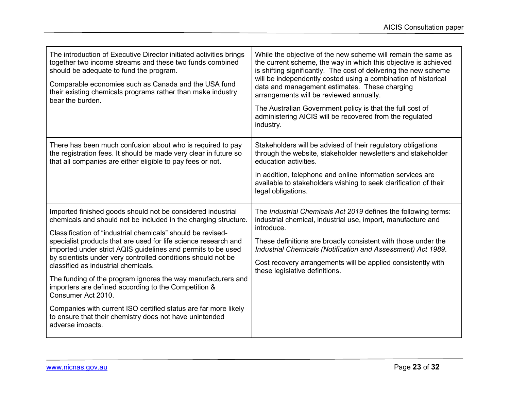| The introduction of Executive Director initiated activities brings<br>together two income streams and these two funds combined<br>should be adequate to fund the program.<br>Comparable economies such as Canada and the USA fund<br>their existing chemicals programs rather than make industry<br>bear the burden.                                                                                                                                                                                                                                                                                                                                                                                                                    | While the objective of the new scheme will remain the same as<br>the current scheme, the way in which this objective is achieved<br>is shifting significantly. The cost of delivering the new scheme<br>will be independently costed using a combination of historical<br>data and management estimates. These charging<br>arrangements will be reviewed annually.<br>The Australian Government policy is that the full cost of<br>administering AICIS will be recovered from the regulated<br>industry. |
|-----------------------------------------------------------------------------------------------------------------------------------------------------------------------------------------------------------------------------------------------------------------------------------------------------------------------------------------------------------------------------------------------------------------------------------------------------------------------------------------------------------------------------------------------------------------------------------------------------------------------------------------------------------------------------------------------------------------------------------------|----------------------------------------------------------------------------------------------------------------------------------------------------------------------------------------------------------------------------------------------------------------------------------------------------------------------------------------------------------------------------------------------------------------------------------------------------------------------------------------------------------|
| There has been much confusion about who is required to pay<br>the registration fees. It should be made very clear in future so<br>that all companies are either eligible to pay fees or not.                                                                                                                                                                                                                                                                                                                                                                                                                                                                                                                                            | Stakeholders will be advised of their regulatory obligations<br>through the website, stakeholder newsletters and stakeholder<br>education activities.<br>In addition, telephone and online information services are<br>available to stakeholders wishing to seek clarification of their<br>legal obligations.                                                                                                                                                                                            |
| Imported finished goods should not be considered industrial<br>chemicals and should not be included in the charging structure.<br>Classification of "industrial chemicals" should be revised-<br>specialist products that are used for life science research and<br>imported under strict AQIS guidelines and permits to be used<br>by scientists under very controlled conditions should not be<br>classified as industrial chemicals.<br>The funding of the program ignores the way manufacturers and<br>importers are defined according to the Competition &<br>Consumer Act 2010.<br>Companies with current ISO certified status are far more likely<br>to ensure that their chemistry does not have unintended<br>adverse impacts. | The Industrial Chemicals Act 2019 defines the following terms:<br>industrial chemical, industrial use, import, manufacture and<br>introduce.<br>These definitions are broadly consistent with those under the<br>Industrial Chemicals (Notification and Assessment) Act 1989.<br>Cost recovery arrangements will be applied consistently with<br>these legislative definitions.                                                                                                                          |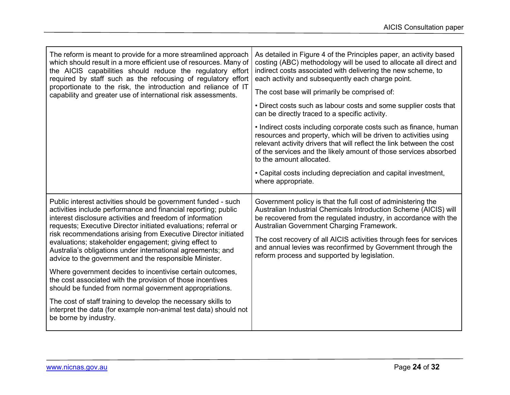| The reform is meant to provide for a more streamlined approach<br>which should result in a more efficient use of resources. Many of<br>the AICIS capabilities should reduce the regulatory effort<br>required by staff such as the refocusing of regulatory effort<br>proportionate to the risk, the introduction and reliance of IT<br>capability and greater use of international risk assessments.                                                                                                               | As detailed in Figure 4 of the Principles paper, an activity based<br>costing (ABC) methodology will be used to allocate all direct and<br>indirect costs associated with delivering the new scheme, to<br>each activity and subsequently each charge point.<br>The cost base will primarily be comprised of:                                                                                                                           |
|---------------------------------------------------------------------------------------------------------------------------------------------------------------------------------------------------------------------------------------------------------------------------------------------------------------------------------------------------------------------------------------------------------------------------------------------------------------------------------------------------------------------|-----------------------------------------------------------------------------------------------------------------------------------------------------------------------------------------------------------------------------------------------------------------------------------------------------------------------------------------------------------------------------------------------------------------------------------------|
|                                                                                                                                                                                                                                                                                                                                                                                                                                                                                                                     | • Direct costs such as labour costs and some supplier costs that<br>can be directly traced to a specific activity.                                                                                                                                                                                                                                                                                                                      |
|                                                                                                                                                                                                                                                                                                                                                                                                                                                                                                                     | • Indirect costs including corporate costs such as finance, human<br>resources and property, which will be driven to activities using<br>relevant activity drivers that will reflect the link between the cost<br>of the services and the likely amount of those services absorbed<br>to the amount allocated.                                                                                                                          |
|                                                                                                                                                                                                                                                                                                                                                                                                                                                                                                                     | • Capital costs including depreciation and capital investment,<br>where appropriate.                                                                                                                                                                                                                                                                                                                                                    |
| Public interest activities should be government funded - such<br>activities include performance and financial reporting; public<br>interest disclosure activities and freedom of information<br>requests; Executive Director initiated evaluations; referral or<br>risk recommendations arising from Executive Director initiated<br>evaluations; stakeholder engagement; giving effect to<br>Australia's obligations under international agreements; and<br>advice to the government and the responsible Minister. | Government policy is that the full cost of administering the<br>Australian Industrial Chemicals Introduction Scheme (AICIS) will<br>be recovered from the regulated industry, in accordance with the<br>Australian Government Charging Framework.<br>The cost recovery of all AICIS activities through fees for services<br>and annual levies was reconfirmed by Government through the<br>reform process and supported by legislation. |
| Where government decides to incentivise certain outcomes,<br>the cost associated with the provision of those incentives<br>should be funded from normal government appropriations.                                                                                                                                                                                                                                                                                                                                  |                                                                                                                                                                                                                                                                                                                                                                                                                                         |
| The cost of staff training to develop the necessary skills to<br>interpret the data (for example non-animal test data) should not<br>be borne by industry.                                                                                                                                                                                                                                                                                                                                                          |                                                                                                                                                                                                                                                                                                                                                                                                                                         |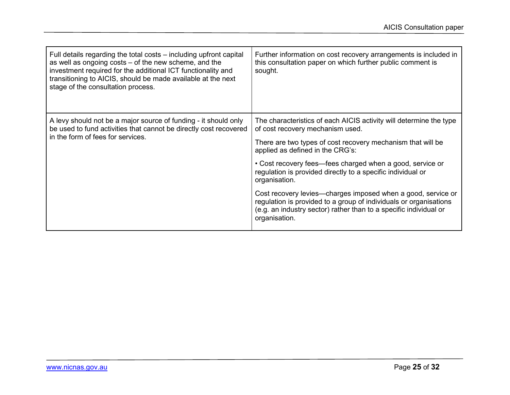| Full details regarding the total costs – including upfront capital<br>as well as ongoing costs - of the new scheme, and the<br>investment required for the additional ICT functionality and<br>transitioning to AICIS, should be made available at the next<br>stage of the consultation process. | Further information on cost recovery arrangements is included in<br>this consultation paper on which further public comment is<br>sought.                                                                               |
|---------------------------------------------------------------------------------------------------------------------------------------------------------------------------------------------------------------------------------------------------------------------------------------------------|-------------------------------------------------------------------------------------------------------------------------------------------------------------------------------------------------------------------------|
| A levy should not be a major source of funding - it should only<br>be used to fund activities that cannot be directly cost recovered<br>in the form of fees for services.                                                                                                                         | The characteristics of each AICIS activity will determine the type<br>of cost recovery mechanism used.<br>There are two types of cost recovery mechanism that will be<br>applied as defined in the CRG's:               |
|                                                                                                                                                                                                                                                                                                   | • Cost recovery fees—fees charged when a good, service or<br>regulation is provided directly to a specific individual or<br>organisation.                                                                               |
|                                                                                                                                                                                                                                                                                                   | Cost recovery levies—charges imposed when a good, service or<br>regulation is provided to a group of individuals or organisations<br>(e.g. an industry sector) rather than to a specific individual or<br>organisation. |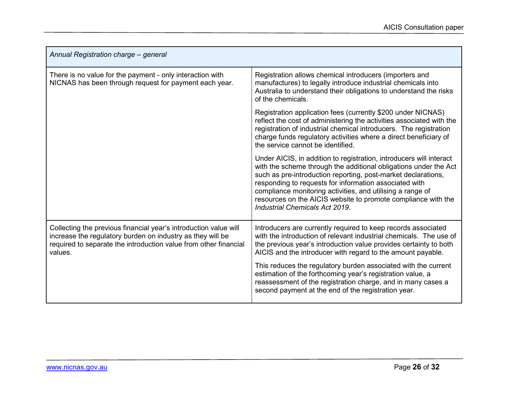| Annual Registration charge - general                                                                                                                                                                          |                                                                                                                                                                                                                                                                                                                                                                                                                                     |
|---------------------------------------------------------------------------------------------------------------------------------------------------------------------------------------------------------------|-------------------------------------------------------------------------------------------------------------------------------------------------------------------------------------------------------------------------------------------------------------------------------------------------------------------------------------------------------------------------------------------------------------------------------------|
| There is no value for the payment - only interaction with<br>NICNAS has been through request for payment each year.                                                                                           | Registration allows chemical introducers (importers and<br>manufactures) to legally introduce industrial chemicals into<br>Australia to understand their obligations to understand the risks<br>of the chemicals.                                                                                                                                                                                                                   |
|                                                                                                                                                                                                               | Registration application fees (currently \$200 under NICNAS)<br>reflect the cost of administering the activities associated with the<br>registration of industrial chemical introducers. The registration<br>charge funds regulatory activities where a direct beneficiary of<br>the service cannot be identified.                                                                                                                  |
|                                                                                                                                                                                                               | Under AICIS, in addition to registration, introducers will interact<br>with the scheme through the additional obligations under the Act<br>such as pre-introduction reporting, post-market declarations,<br>responding to requests for information associated with<br>compliance monitoring activities, and utilising a range of<br>resources on the AICIS website to promote compliance with the<br>Industrial Chemicals Act 2019. |
| Collecting the previous financial year's introduction value will<br>increase the regulatory burden on industry as they will be<br>required to separate the introduction value from other financial<br>values. | Introducers are currently required to keep records associated<br>with the introduction of relevant industrial chemicals. The use of<br>the previous year's introduction value provides certainty to both<br>AICIS and the introducer with regard to the amount payable.                                                                                                                                                             |
|                                                                                                                                                                                                               | This reduces the regulatory burden associated with the current<br>estimation of the forthcoming year's registration value, a<br>reassessment of the registration charge, and in many cases a<br>second payment at the end of the registration year.                                                                                                                                                                                 |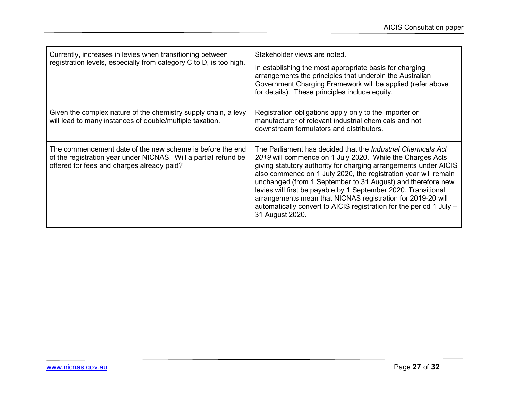| Currently, increases in levies when transitioning between<br>registration levels, especially from category C to D, is too high.                                            | Stakeholder views are noted.<br>In establishing the most appropriate basis for charging<br>arrangements the principles that underpin the Australian<br>Government Charging Framework will be applied (refer above<br>for details). These principles include equity.                                                                                                                                                                                                                                                                                               |
|----------------------------------------------------------------------------------------------------------------------------------------------------------------------------|-------------------------------------------------------------------------------------------------------------------------------------------------------------------------------------------------------------------------------------------------------------------------------------------------------------------------------------------------------------------------------------------------------------------------------------------------------------------------------------------------------------------------------------------------------------------|
| Given the complex nature of the chemistry supply chain, a levy<br>will lead to many instances of double/multiple taxation.                                                 | Registration obligations apply only to the importer or<br>manufacturer of relevant industrial chemicals and not<br>downstream formulators and distributors.                                                                                                                                                                                                                                                                                                                                                                                                       |
| The commencement date of the new scheme is before the end<br>of the registration year under NICNAS. Will a partial refund be<br>offered for fees and charges already paid? | The Parliament has decided that the <i>Industrial Chemicals Act</i><br>2019 will commence on 1 July 2020. While the Charges Acts<br>giving statutory authority for charging arrangements under AICIS<br>also commence on 1 July 2020, the registration year will remain<br>unchanged (from 1 September to 31 August) and therefore new<br>levies will first be payable by 1 September 2020. Transitional<br>arrangements mean that NICNAS registration for 2019-20 will<br>automatically convert to AICIS registration for the period 1 July -<br>31 August 2020. |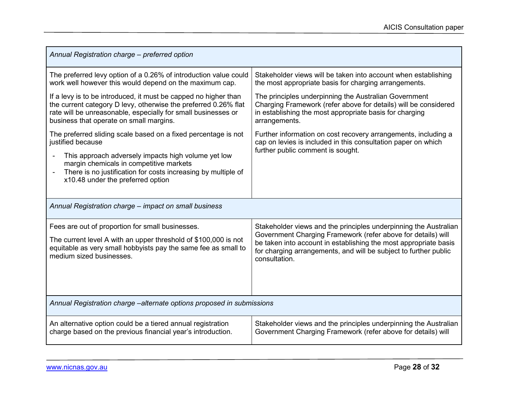| Annual Registration charge - preferred option                                                                                                                                                                                                                                                                                   |                                                                                                                                                                                                                                                                                           |  |
|---------------------------------------------------------------------------------------------------------------------------------------------------------------------------------------------------------------------------------------------------------------------------------------------------------------------------------|-------------------------------------------------------------------------------------------------------------------------------------------------------------------------------------------------------------------------------------------------------------------------------------------|--|
| The preferred levy option of a 0.26% of introduction value could<br>work well however this would depend on the maximum cap.                                                                                                                                                                                                     | Stakeholder views will be taken into account when establishing<br>the most appropriate basis for charging arrangements.                                                                                                                                                                   |  |
| If a levy is to be introduced, it must be capped no higher than<br>the current category D levy, otherwise the preferred 0.26% flat<br>rate will be unreasonable, especially for small businesses or<br>business that operate on small margins.                                                                                  | The principles underpinning the Australian Government<br>Charging Framework (refer above for details) will be considered<br>in establishing the most appropriate basis for charging<br>arrangements.                                                                                      |  |
| The preferred sliding scale based on a fixed percentage is not<br>justified because<br>This approach adversely impacts high volume yet low<br>$\blacksquare$<br>margin chemicals in competitive markets<br>There is no justification for costs increasing by multiple of<br>$\overline{a}$<br>x10.48 under the preferred option | Further information on cost recovery arrangements, including a<br>cap on levies is included in this consultation paper on which<br>further public comment is sought.                                                                                                                      |  |
| Annual Registration charge - impact on small business                                                                                                                                                                                                                                                                           |                                                                                                                                                                                                                                                                                           |  |
| Fees are out of proportion for small businesses.<br>The current level A with an upper threshold of \$100,000 is not<br>equitable as very small hobbyists pay the same fee as small to<br>medium sized businesses.                                                                                                               | Stakeholder views and the principles underpinning the Australian<br>Government Charging Framework (refer above for details) will<br>be taken into account in establishing the most appropriate basis<br>for charging arrangements, and will be subject to further public<br>consultation. |  |
| Annual Registration charge – alternate options proposed in submissions                                                                                                                                                                                                                                                          |                                                                                                                                                                                                                                                                                           |  |
| An alternative option could be a tiered annual registration<br>charge based on the previous financial year's introduction.                                                                                                                                                                                                      | Stakeholder views and the principles underpinning the Australian<br>Government Charging Framework (refer above for details) will                                                                                                                                                          |  |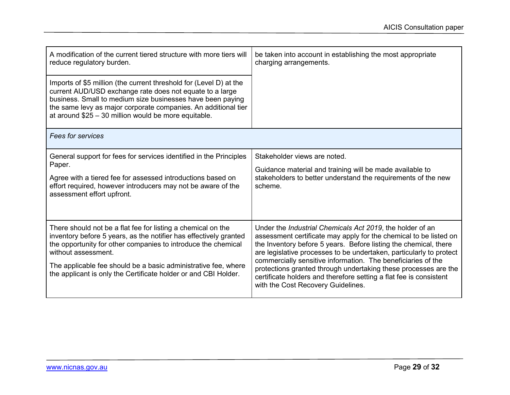| A modification of the current tiered structure with more tiers will<br>reduce regulatory burden.                                                                                                                                                                                                                       | be taken into account in establishing the most appropriate<br>charging arrangements.                                                                                                                                                                                                                                                              |
|------------------------------------------------------------------------------------------------------------------------------------------------------------------------------------------------------------------------------------------------------------------------------------------------------------------------|---------------------------------------------------------------------------------------------------------------------------------------------------------------------------------------------------------------------------------------------------------------------------------------------------------------------------------------------------|
| Imports of \$5 million (the current threshold for (Level D) at the<br>current AUD/USD exchange rate does not equate to a large<br>business. Small to medium size businesses have been paying<br>the same levy as major corporate companies. An additional tier<br>at around \$25 - 30 million would be more equitable. |                                                                                                                                                                                                                                                                                                                                                   |
| <b>Fees for services</b>                                                                                                                                                                                                                                                                                               |                                                                                                                                                                                                                                                                                                                                                   |
| General support for fees for services identified in the Principles<br>Paper.                                                                                                                                                                                                                                           | Stakeholder views are noted.                                                                                                                                                                                                                                                                                                                      |
| Agree with a tiered fee for assessed introductions based on<br>effort required, however introducers may not be aware of the<br>assessment effort upfront.                                                                                                                                                              | Guidance material and training will be made available to<br>stakeholders to better understand the requirements of the new<br>scheme.                                                                                                                                                                                                              |
| There should not be a flat fee for listing a chemical on the<br>inventory before 5 years, as the notifier has effectively granted<br>the opportunity for other companies to introduce the chemical<br>without assessment.                                                                                              | Under the <i>Industrial Chemicals Act 2019</i> , the holder of an<br>assessment certificate may apply for the chemical to be listed on<br>the Inventory before 5 years. Before listing the chemical, there<br>are legislative processes to be undertaken, particularly to protect<br>commercially sensitive information. The beneficiaries of the |
| The applicable fee should be a basic administrative fee, where<br>the applicant is only the Certificate holder or and CBI Holder.                                                                                                                                                                                      | protections granted through undertaking these processes are the<br>certificate holders and therefore setting a flat fee is consistent<br>with the Cost Recovery Guidelines.                                                                                                                                                                       |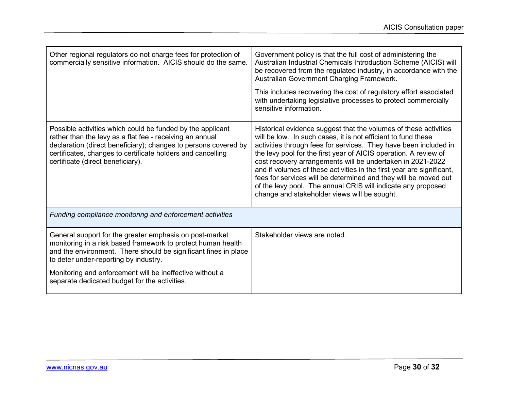| Other regional regulators do not charge fees for protection of<br>commercially sensitive information. AICIS should do the same.                                                                                                                                                                                                                  | Government policy is that the full cost of administering the<br>Australian Industrial Chemicals Introduction Scheme (AICIS) will<br>be recovered from the regulated industry, in accordance with the<br>Australian Government Charging Framework.<br>This includes recovering the cost of regulatory effort associated<br>with undertaking legislative processes to protect commercially<br>sensitive information.                                                                                                                                                                                  |
|--------------------------------------------------------------------------------------------------------------------------------------------------------------------------------------------------------------------------------------------------------------------------------------------------------------------------------------------------|-----------------------------------------------------------------------------------------------------------------------------------------------------------------------------------------------------------------------------------------------------------------------------------------------------------------------------------------------------------------------------------------------------------------------------------------------------------------------------------------------------------------------------------------------------------------------------------------------------|
| Possible activities which could be funded by the applicant<br>rather than the levy as a flat fee - receiving an annual<br>declaration (direct beneficiary); changes to persons covered by<br>certificates, changes to certificate holders and cancelling<br>certificate (direct beneficiary).                                                    | Historical evidence suggest that the volumes of these activities<br>will be low. In such cases, it is not efficient to fund these<br>activities through fees for services. They have been included in<br>the levy pool for the first year of AICIS operation. A review of<br>cost recovery arrangements will be undertaken in 2021-2022<br>and if volumes of these activities in the first year are significant,<br>fees for services will be determined and they will be moved out<br>of the levy pool. The annual CRIS will indicate any proposed<br>change and stakeholder views will be sought. |
| Funding compliance monitoring and enforcement activities                                                                                                                                                                                                                                                                                         |                                                                                                                                                                                                                                                                                                                                                                                                                                                                                                                                                                                                     |
| General support for the greater emphasis on post-market<br>monitoring in a risk based framework to protect human health<br>and the environment. There should be significant fines in place<br>to deter under-reporting by industry.<br>Monitoring and enforcement will be ineffective without a<br>separate dedicated budget for the activities. | Stakeholder views are noted.                                                                                                                                                                                                                                                                                                                                                                                                                                                                                                                                                                        |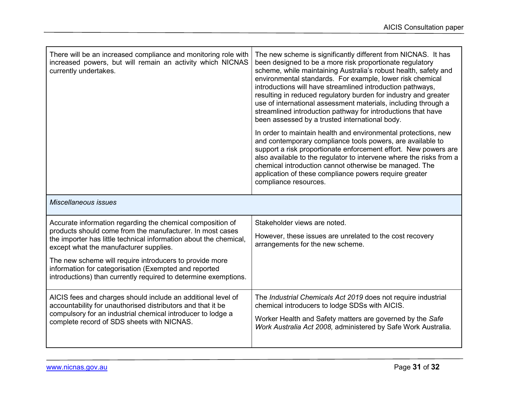| There will be an increased compliance and monitoring role with<br>increased powers, but will remain an activity which NICNAS<br>currently undertakes.                                                                                                                                                                                                                                                                         | The new scheme is significantly different from NICNAS. It has<br>been designed to be a more risk proportionate regulatory<br>scheme, while maintaining Australia's robust health, safety and<br>environmental standards. For example, lower risk chemical<br>introductions will have streamlined introduction pathways,<br>resulting in reduced regulatory burden for industry and greater<br>use of international assessment materials, including through a<br>streamlined introduction pathway for introductions that have<br>been assessed by a trusted international body.<br>In order to maintain health and environmental protections, new<br>and contemporary compliance tools powers, are available to<br>support a risk proportionate enforcement effort. New powers are<br>also available to the regulator to intervene where the risks from a<br>chemical introduction cannot otherwise be managed. The<br>application of these compliance powers require greater<br>compliance resources. |
|-------------------------------------------------------------------------------------------------------------------------------------------------------------------------------------------------------------------------------------------------------------------------------------------------------------------------------------------------------------------------------------------------------------------------------|-------------------------------------------------------------------------------------------------------------------------------------------------------------------------------------------------------------------------------------------------------------------------------------------------------------------------------------------------------------------------------------------------------------------------------------------------------------------------------------------------------------------------------------------------------------------------------------------------------------------------------------------------------------------------------------------------------------------------------------------------------------------------------------------------------------------------------------------------------------------------------------------------------------------------------------------------------------------------------------------------------|
| Miscellaneous issues                                                                                                                                                                                                                                                                                                                                                                                                          |                                                                                                                                                                                                                                                                                                                                                                                                                                                                                                                                                                                                                                                                                                                                                                                                                                                                                                                                                                                                       |
| Accurate information regarding the chemical composition of<br>products should come from the manufacturer. In most cases<br>the importer has little technical information about the chemical,<br>except what the manufacturer supplies.<br>The new scheme will require introducers to provide more<br>information for categorisation (Exempted and reported<br>introductions) than currently required to determine exemptions. | Stakeholder views are noted.<br>However, these issues are unrelated to the cost recovery<br>arrangements for the new scheme.                                                                                                                                                                                                                                                                                                                                                                                                                                                                                                                                                                                                                                                                                                                                                                                                                                                                          |
| AICIS fees and charges should include an additional level of<br>accountability for unauthorised distributors and that it be<br>compulsory for an industrial chemical introducer to lodge a<br>complete record of SDS sheets with NICNAS.                                                                                                                                                                                      | The Industrial Chemicals Act 2019 does not require industrial<br>chemical introducers to lodge SDSs with AICIS.<br>Worker Health and Safety matters are governed by the Safe<br>Work Australia Act 2008, administered by Safe Work Australia.                                                                                                                                                                                                                                                                                                                                                                                                                                                                                                                                                                                                                                                                                                                                                         |